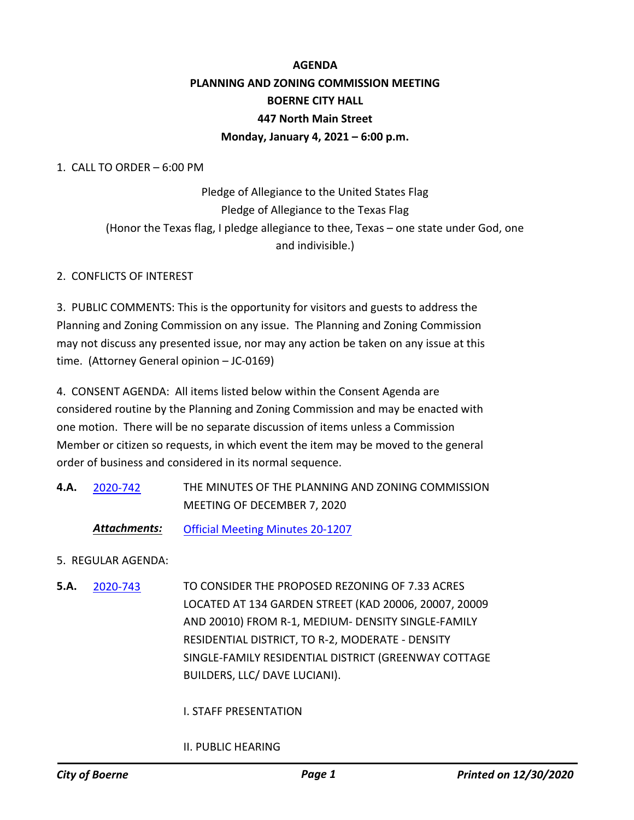# **AGENDA PLANNING AND ZONING COMMISSION MEETING BOERNE CITY HALL 447 North Main Street Monday, January 4, 2021 – 6:00 p.m.**

1. CALL TO ORDER – 6:00 PM

Pledge of Allegiance to the United States Flag Pledge of Allegiance to the Texas Flag (Honor the Texas flag, I pledge allegiance to thee, Texas – one state under God, one and indivisible.)

## 2. CONFLICTS OF INTEREST

3. PUBLIC COMMENTS: This is the opportunity for visitors and guests to address the Planning and Zoning Commission on any issue. The Planning and Zoning Commission may not discuss any presented issue, nor may any action be taken on any issue at this time. (Attorney General opinion – JC-0169)

4. CONSENT AGENDA: All items listed below within the Consent Agenda are considered routine by the Planning and Zoning Commission and may be enacted with one motion. There will be no separate discussion of items unless a Commission Member or citizen so requests, in which event the item may be moved to the general order of business and considered in its normal sequence.

- THE MINUTES OF THE PLANNING AND ZONING COMMISSION MEETING OF DECEMBER 7, 2020 **4.A.** 2020-742
	- *Attachments:* Official Meeting Minutes 20-1207
- 5. REGULAR AGENDA:
- TO CONSIDER THE PROPOSED REZONING OF 7.33 ACRES LOCATED AT 134 GARDEN STREET (KAD 20006, 20007, 20009 AND 20010) FROM R-1, MEDIUM- DENSITY SINGLE-FAMILY RESIDENTIAL DISTRICT, TO R-2, MODERATE - DENSITY SINGLE-FAMILY RESIDENTIAL DISTRICT (GREENWAY COTTAGE BUILDERS, LLC/ DAVE LUCIANI). **5.A.** 2020-743

## I. STAFF PRESENTATION

## II. PUBLIC HEARING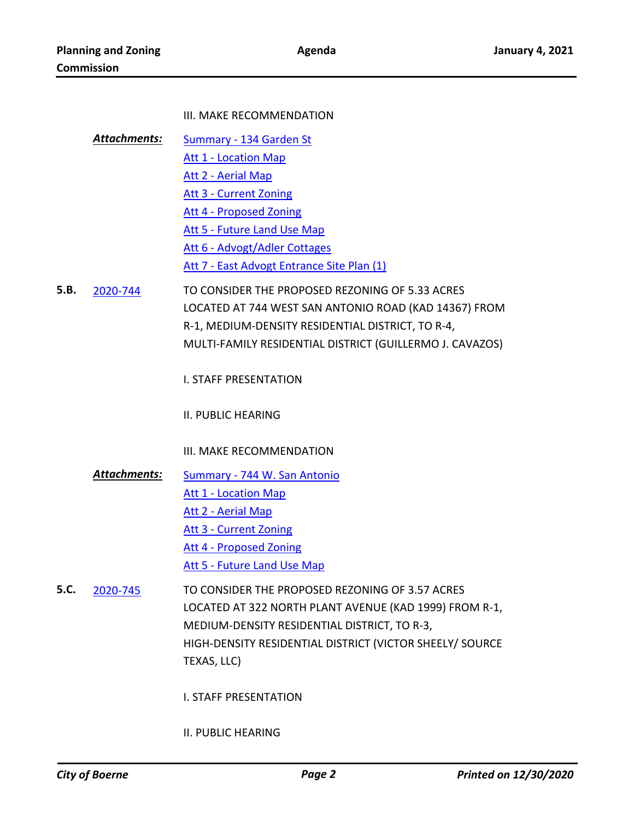#### III. MAKE RECOMMENDATION

- Summary 134 Garden St Att 1 - Location Map Att 2 - Aerial Map Att 3 - Current Zoning Att 4 - Proposed Zoning Att 5 - Future Land Use Map Att 6 - Advogt/Adler Cottages Att 7 - East Advogt Entrance Site Plan (1) *Attachments:*
- TO CONSIDER THE PROPOSED REZONING OF 5.33 ACRES LOCATED AT 744 WEST SAN ANTONIO ROAD (KAD 14367) FROM R-1, MEDIUM-DENSITY RESIDENTIAL DISTRICT, TO R-4, MULTI-FAMILY RESIDENTIAL DISTRICT (GUILLERMO J. CAVAZOS) **5.B.** 2020-744
	- I. STAFF PRESENTATION

II. PUBLIC HEARING

- III. MAKE RECOMMENDATION
- Summary 744 W. San Antonio Att 1 - Location Map Att 2 - Aerial Map Att 3 - Current Zoning Att 4 - Proposed Zoning Att 5 - Future Land Use Map *Attachments:*
- TO CONSIDER THE PROPOSED REZONING OF 3.57 ACRES LOCATED AT 322 NORTH PLANT AVENUE (KAD 1999) FROM R-1, MEDIUM-DENSITY RESIDENTIAL DISTRICT, TO R-3, HIGH-DENSITY RESIDENTIAL DISTRICT (VICTOR SHEELY/ SOURCE TEXAS, LLC) **5.C.** 2020-745
	- I. STAFF PRESENTATION

#### II. PUBLIC HEARING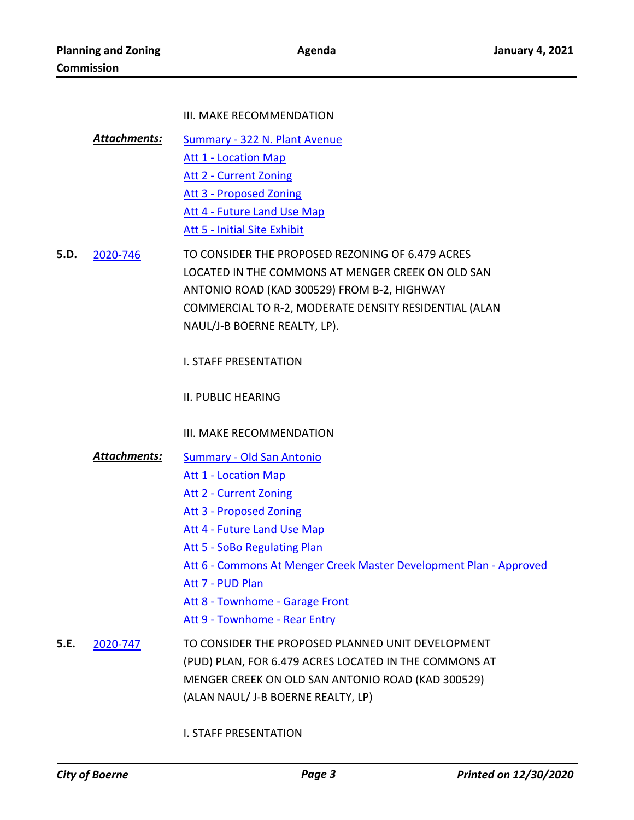#### III. MAKE RECOMMENDATION

- Summary 322 N. Plant Avenue Att 1 - Location Map Att 2 - Current Zoning Att 3 - Proposed Zoning Att 4 - Future Land Use Map Att 5 - Initial Site Exhibit *Attachments:*
- TO CONSIDER THE PROPOSED REZONING OF 6.479 ACRES LOCATED IN THE COMMONS AT MENGER CREEK ON OLD SAN ANTONIO ROAD (KAD 300529) FROM B-2, HIGHWAY COMMERCIAL TO R-2, MODERATE DENSITY RESIDENTIAL (ALAN NAUL/J-B BOERNE REALTY, LP). **5.D.** 2020-746

I. STAFF PRESENTATION

II. PUBLIC HEARING

III. MAKE RECOMMENDATION

- Summary Old San Antonio *Attachments:*
	- Att 1 Location Map
		- Att 2 Current Zoning
		- Att 3 Proposed Zoning
		- Att 4 Future Land Use Map
		- Att 5 SoBo Regulating Plan
		- Att 6 Commons At Menger Creek Master Development Plan Approved

Att 7 - PUD Plan

- Att 8 Townhome Garage Front
- Att 9 Townhome Rear Entry
- TO CONSIDER THE PROPOSED PLANNED UNIT DEVELOPMENT (PUD) PLAN, FOR 6.479 ACRES LOCATED IN THE COMMONS AT MENGER CREEK ON OLD SAN ANTONIO ROAD (KAD 300529) (ALAN NAUL/ J-B BOERNE REALTY, LP) **5.E.** 2020-747

I. STAFF PRESENTATION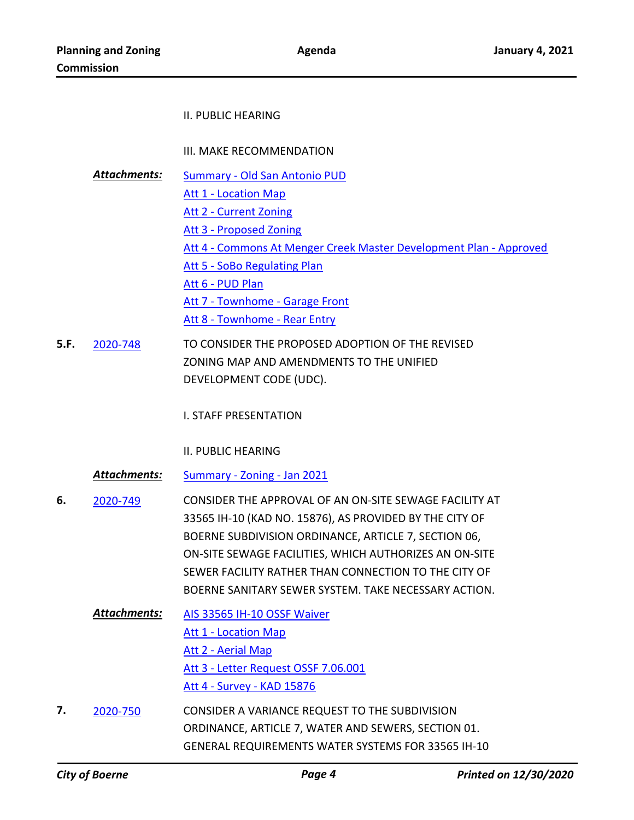#### II. PUBLIC HEARING

III. MAKE RECOMMENDATION

- Summary Old San Antonio PUD Att 1 - Location Map Att 2 - Current Zoning Att 3 - Proposed Zoning Att 4 - Commons At Menger Creek Master Development Plan - Approved Att 5 - SoBo Regulating Plan Att 6 - PUD Plan Att 7 - Townhome - Garage Front Att 8 - Townhome - Rear Entry *Attachments:*
- TO CONSIDER THE PROPOSED ADOPTION OF THE REVISED ZONING MAP AND AMENDMENTS TO THE UNIFIED DEVELOPMENT CODE (UDC). **5.F.** 2020-748

I. STAFF PRESENTATION

II. PUBLIC HEARING

*Attachments:* Summary - Zoning - Jan 2021

- CONSIDER THE APPROVAL OF AN ON-SITE SEWAGE FACILITY AT 33565 IH-10 (KAD NO. 15876), AS PROVIDED BY THE CITY OF BOERNE SUBDIVISION ORDINANCE, ARTICLE 7, SECTION 06, ON-SITE SEWAGE FACILITIES, WHICH AUTHORIZES AN ON-SITE SEWER FACILITY RATHER THAN CONNECTION TO THE CITY OF BOERNE SANITARY SEWER SYSTEM. TAKE NECESSARY ACTION. **6.** 2020-749
	- AIS 33565 IH-10 OSSF Waiver Att 1 - Location Map Att 2 - Aerial Map Att 3 - Letter Request OSSF 7.06.001 Att 4 - Survey - KAD 15876 *Attachments:*
- CONSIDER A VARIANCE REQUEST TO THE SUBDIVISION ORDINANCE, ARTICLE 7, WATER AND SEWERS, SECTION 01. GENERAL REQUIREMENTS WATER SYSTEMS FOR 33565 IH-10 **7.** 2020-750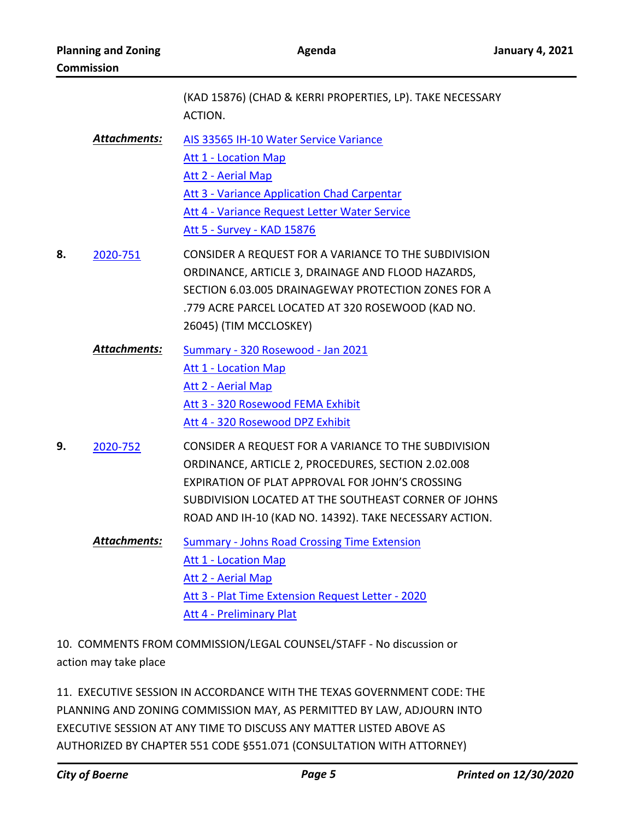|    |                     | (KAD 15876) (CHAD & KERRI PROPERTIES, LP). TAKE NECESSARY<br>ACTION.                                                                                                                                                                                                            |
|----|---------------------|---------------------------------------------------------------------------------------------------------------------------------------------------------------------------------------------------------------------------------------------------------------------------------|
|    | <b>Attachments:</b> | AIS 33565 IH-10 Water Service Variance<br><b>Att 1 - Location Map</b><br>Att 2 - Aerial Map<br>Att 3 - Variance Application Chad Carpentar<br>Att 4 - Variance Request Letter Water Service<br>Att 5 - Survey - KAD 15876                                                       |
| 8. | 2020-751            | CONSIDER A REQUEST FOR A VARIANCE TO THE SUBDIVISION<br>ORDINANCE, ARTICLE 3, DRAINAGE AND FLOOD HAZARDS,<br>SECTION 6.03.005 DRAINAGEWAY PROTECTION ZONES FOR A<br>.779 ACRE PARCEL LOCATED AT 320 ROSEWOOD (KAD NO.<br>26045) (TIM MCCLOSKEY)                                 |
|    | Attachments:        | Summary - 320 Rosewood - Jan 2021<br><b>Att 1 - Location Map</b><br><b>Att 2 - Aerial Map</b><br>Att 3 - 320 Rosewood FEMA Exhibit<br>Att 4 - 320 Rosewood DPZ Exhibit                                                                                                          |
| 9. | 2020-752            | CONSIDER A REQUEST FOR A VARIANCE TO THE SUBDIVISION<br>ORDINANCE, ARTICLE 2, PROCEDURES, SECTION 2.02.008<br>EXPIRATION OF PLAT APPROVAL FOR JOHN'S CROSSING<br>SUBDIVISION LOCATED AT THE SOUTHEAST CORNER OF JOHNS<br>ROAD AND IH-10 (KAD NO. 14392). TAKE NECESSARY ACTION. |
|    | Attachments:        | <b>Summary - Johns Road Crossing Time Extension</b><br><b>Att 1 - Location Map</b><br>Att 2 - Aerial Map<br>Att 3 - Plat Time Extension Request Letter - 2020<br>Att 4 - Preliminary Plat                                                                                       |

10. COMMENTS FROM COMMISSION/LEGAL COUNSEL/STAFF - No discussion or action may take place

11. EXECUTIVE SESSION IN ACCORDANCE WITH THE TEXAS GOVERNMENT CODE: THE PLANNING AND ZONING COMMISSION MAY, AS PERMITTED BY LAW, ADJOURN INTO EXECUTIVE SESSION AT ANY TIME TO DISCUSS ANY MATTER LISTED ABOVE AS AUTHORIZED BY CHAPTER 551 CODE §551.071 (CONSULTATION WITH ATTORNEY)